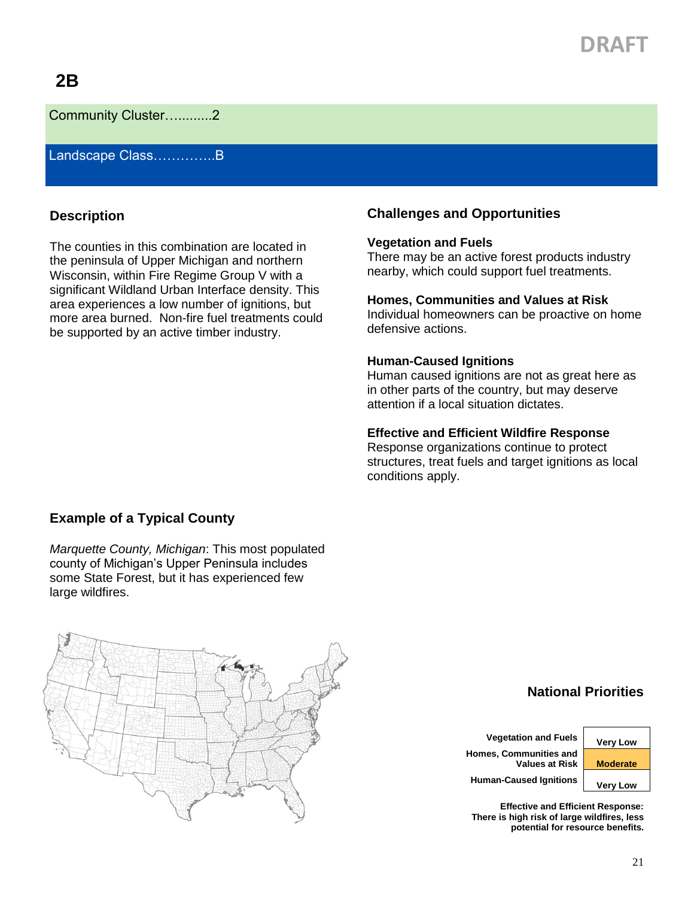# **DRAFT**

## **2B**

Community Cluster….........2

Landscape Class…………..B

### **Description**

The counties in this combination are located in the peninsula of Upper Michigan and northern Wisconsin, within Fire Regime Group V with a significant Wildland Urban Interface density. This area experiences a low number of ignitions, but more area burned. Non-fire fuel treatments could be supported by an active timber industry.

## **Challenges and Opportunities**

#### **Vegetation and Fuels**

There may be an active forest products industry nearby, which could support fuel treatments.

#### **Homes, Communities and Values at Risk**

Individual homeowners can be proactive on home defensive actions.

#### **Human-Caused Ignitions**

Human caused ignitions are not as great here as in other parts of the country, but may deserve attention if a local situation dictates.

#### **Effective and Efficient Wildfire Response**

Response organizations continue to protect structures, treat fuels and target ignitions as local conditions apply.

## **Example of a Typical County**

*Marquette County, Michigan*: This most populated county of Michigan's Upper Peninsula includes some State Forest, but it has experienced few large wildfires.



**National Priorities**

**Vegetation and Fuels Very Low Homes, Communities and Values at Risk Moderate Human-Caused Ignitions Very Low**

**Effective and Efficient Response: There is high risk of large wildfires, less potential for resource benefits.**